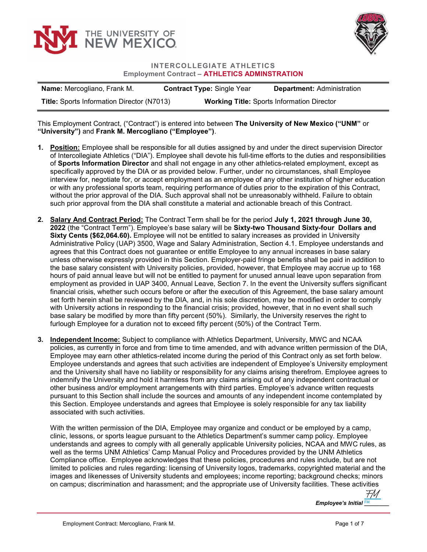



## INTERCOLLEGIATE ATHLETICS Employment Contract – ATHLETICS ADMINSTRATION

| <b>Name:</b> Mercogliano, Frank M.                | <b>Contract Type: Single Year</b> | <b>Department: Administration</b>                 |
|---------------------------------------------------|-----------------------------------|---------------------------------------------------|
| <b>Title: Sports Information Director (N7013)</b> |                                   | <b>Working Title: Sports Information Director</b> |

This Employment Contract, ("Contract") is entered into between The University of New Mexico ("UNM" or "University") and Frank M. Mercogliano ("Employee").

- 1. Position: Employee shall be responsible for all duties assigned by and under the direct supervision Director of Intercollegiate Athletics ("DIA"). Employee shall devote his full-time efforts to the duties and responsibilities of Sports Information Director and shall not engage in any other athletics-related employment, except as specifically approved by the DIA or as provided below. Further, under no circumstances, shall Employee interview for, negotiate for, or accept employment as an employee of any other institution of higher education or with any professional sports team, requiring performance of duties prior to the expiration of this Contract, without the prior approval of the DIA. Such approval shall not be unreasonably withheld. Failure to obtain such prior approval from the DIA shall constitute a material and actionable breach of this Contract.
- 2. Salary And Contract Period: The Contract Term shall be for the period July 1, 2021 through June 30, 2022 (the "Contract Term"). Employee's base salary will be Sixty-two Thousand Sixty-four Dollars and Sixty Cents (\$62,064.60). Employee will not be entitled to salary increases as provided in University Administrative Policy (UAP) 3500, Wage and Salary Administration, Section 4.1. Employee understands and agrees that this Contract does not guarantee or entitle Employee to any annual increases in base salary unless otherwise expressly provided in this Section. Employer-paid fringe benefits shall be paid in addition to the base salary consistent with University policies, provided, however, that Employee may accrue up to 168 hours of paid annual leave but will not be entitled to payment for unused annual leave upon separation from employment as provided in UAP 3400, Annual Leave, Section 7. In the event the University suffers significant financial crisis, whether such occurs before or after the execution of this Agreement, the base salary amount set forth herein shall be reviewed by the DIA, and, in his sole discretion, may be modified in order to comply with University actions in responding to the financial crisis; provided, however, that in no event shall such base salary be modified by more than fifty percent (50%). Similarly, the University reserves the right to furlough Employee for a duration not to exceed fifty percent (50%) of the Contract Term.
- 3. Independent Income: Subject to compliance with Athletics Department, University, MWC and NCAA policies, as currently in force and from time to time amended, and with advance written permission of the DIA, Employee may earn other athletics-related income during the period of this Contract only as set forth below. Employee understands and agrees that such activities are independent of Employee's University employment and the University shall have no liability or responsibility for any claims arising therefrom. Employee agrees to indemnify the University and hold it harmless from any claims arising out of any independent contractual or other business and/or employment arrangements with third parties. Employee's advance written requests pursuant to this Section shall include the sources and amounts of any independent income contemplated by this Section. Employee understands and agrees that Employee is solely responsible for any tax liability associated with such activities.

With the written permission of the DIA, Employee may organize and conduct or be employed by a camp, clinic, lessons, or sports league pursuant to the Athletics Department's summer camp policy. Employee understands and agrees to comply with all generally applicable University policies, NCAA and MWC rules, as well as the terms UNM Athletics' Camp Manual Policy and Procedures provided by the UNM Athletics Compliance office. Employee acknowledges that these policies, procedures and rules include, but are not limited to policies and rules regarding: licensing of University logos, trademarks, copyrighted material and the images and likenesses of University students and employees; income reporting; background checks; minors on campus; discrimination and harassment; and the appropriate use of University facilities. These activities

> Employee's Initial FM \_\_\_\_\_\_ [FM](https://secure.na2.echosign.com/verifier?tx=CBJCHBCAABAArJFLSlKHSfLAUEUGky9QQonYe-sW-qhA)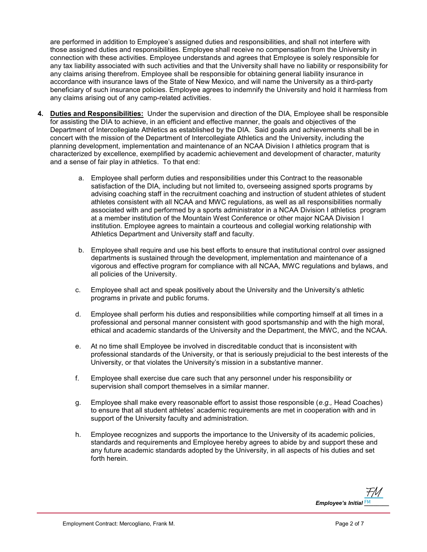are performed in addition to Employee's assigned duties and responsibilities, and shall not interfere with those assigned duties and responsibilities. Employee shall receive no compensation from the University in connection with these activities. Employee understands and agrees that Employee is solely responsible for any tax liability associated with such activities and that the University shall have no liability or responsibility for any claims arising therefrom. Employee shall be responsible for obtaining general liability insurance in accordance with insurance laws of the State of New Mexico, and will name the University as a third-party beneficiary of such insurance policies. Employee agrees to indemnify the University and hold it harmless from any claims arising out of any camp-related activities.

- 4. Duties and Responsibilities: Under the supervision and direction of the DIA, Employee shall be responsible for assisting the DIA to achieve, in an efficient and effective manner, the goals and objectives of the Department of Intercollegiate Athletics as established by the DIA. Said goals and achievements shall be in concert with the mission of the Department of Intercollegiate Athletics and the University, including the planning development, implementation and maintenance of an NCAA Division I athletics program that is characterized by excellence, exemplified by academic achievement and development of character, maturity and a sense of fair play in athletics. To that end:
	- a. Employee shall perform duties and responsibilities under this Contract to the reasonable satisfaction of the DIA, including but not limited to, overseeing assigned sports programs by advising coaching staff in the recruitment coaching and instruction of student athletes of student athletes consistent with all NCAA and MWC regulations, as well as all responsibilities normally associated with and performed by a sports administrator in a NCAA Division I athletics program at a member institution of the Mountain West Conference or other major NCAA Division I institution. Employee agrees to maintain a courteous and collegial working relationship with Athletics Department and University staff and faculty.
	- b. Employee shall require and use his best efforts to ensure that institutional control over assigned departments is sustained through the development, implementation and maintenance of a vigorous and effective program for compliance with all NCAA, MWC regulations and bylaws, and all policies of the University.
	- c. Employee shall act and speak positively about the University and the University's athletic programs in private and public forums.
	- d. Employee shall perform his duties and responsibilities while comporting himself at all times in a professional and personal manner consistent with good sportsmanship and with the high moral, ethical and academic standards of the University and the Department, the MWC, and the NCAA.
	- e. At no time shall Employee be involved in discreditable conduct that is inconsistent with professional standards of the University, or that is seriously prejudicial to the best interests of the University, or that violates the University's mission in a substantive manner.
	- f. Employee shall exercise due care such that any personnel under his responsibility or supervision shall comport themselves in a similar manner.
	- g. Employee shall make every reasonable effort to assist those responsible  $(e.g., Head Coaches)$ to ensure that all student athletes' academic requirements are met in cooperation with and in support of the University faculty and administration.
	- h. Employee recognizes and supports the importance to the University of its academic policies, standards and requirements and Employee hereby agrees to abide by and support these and any future academic standards adopted by the University, in all aspects of his duties and set forth herein.

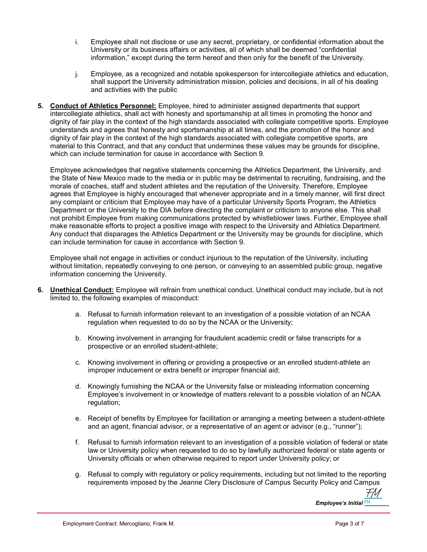- i. Employee shall not disclose or use any secret, proprietary, or confidential information about the University or its business affairs or activities, all of which shall be deemed "confidential information," except during the term hereof and then only for the benefit of the University.
- j. Employee, as a recognized and notable spokesperson for intercollegiate athletics and education, shall support the University administration mission, policies and decisions, in all of his dealing and activities with the public
- 5. Conduct of Athletics Personnel: Employee, hired to administer assigned departments that support intercollegiate athletics, shall act with honesty and sportsmanship at all times in promoting the honor and dignity of fair play in the context of the high standards associated with collegiate competitive sports. Employee understands and agrees that honesty and sportsmanship at all times, and the promotion of the honor and dignity of fair play in the context of the high standards associated with collegiate competitive sports, are material to this Contract, and that any conduct that undermines these values may be grounds for discipline, which can include termination for cause in accordance with Section 9.

Employee acknowledges that negative statements concerning the Athletics Department, the University, and the State of New Mexico made to the media or in public may be detrimental to recruiting, fundraising, and the morale of coaches, staff and student athletes and the reputation of the University. Therefore, Employee agrees that Employee is highly encouraged that whenever appropriate and in a timely manner, will first direct any complaint or criticism that Employee may have of a particular University Sports Program, the Athletics Department or the University to the DIA before directing the complaint or criticism to anyone else. This shall not prohibit Employee from making communications protected by whistleblower laws. Further, Employee shall make reasonable efforts to project a positive image with respect to the University and Athletics Department. Any conduct that disparages the Athletics Department or the University may be grounds for discipline, which can include termination for cause in accordance with Section 9.

Employee shall not engage in activities or conduct injurious to the reputation of the University, including without limitation, repeatedly conveying to one person, or conveying to an assembled public group, negative information concerning the University.

- 6. Unethical Conduct: Employee will refrain from unethical conduct. Unethical conduct may include, but is not limited to, the following examples of misconduct:
	- a. Refusal to furnish information relevant to an investigation of a possible violation of an NCAA regulation when requested to do so by the NCAA or the University;
	- b. Knowing involvement in arranging for fraudulent academic credit or false transcripts for a prospective or an enrolled student-athlete;
	- c. Knowing involvement in offering or providing a prospective or an enrolled student-athlete an improper inducement or extra benefit or improper financial aid;
	- d. Knowingly furnishing the NCAA or the University false or misleading information concerning Employee's involvement in or knowledge of matters relevant to a possible violation of an NCAA regulation;
	- e. Receipt of benefits by Employee for facilitation or arranging a meeting between a student-athlete and an agent, financial advisor, or a representative of an agent or advisor (e.g., "runner");
	- f. Refusal to furnish information relevant to an investigation of a possible violation of federal or state law or University policy when requested to do so by lawfully authorized federal or state agents or University officials or when otherwise required to report under University policy; or
	- g. Refusal to comply with regulatory or policy requirements, including but not limited to the reporting requirements imposed by the Jeanne Clery Disclosure of Campus Security Policy and Campus

Employee's Initial EM Parties of the Employee's [FM](https://secure.na2.echosign.com/verifier?tx=CBJCHBCAABAArJFLSlKHSfLAUEUGky9QQonYe-sW-qhA)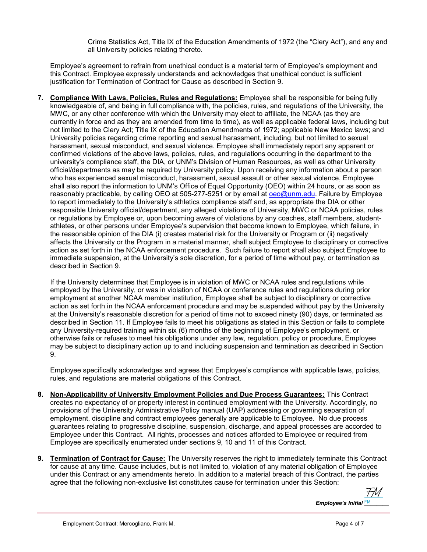Crime Statistics Act, Title IX of the Education Amendments of 1972 (the "Clery Act"), and any and all University policies relating thereto.

Employee's agreement to refrain from unethical conduct is a material term of Employee's employment and this Contract. Employee expressly understands and acknowledges that unethical conduct is sufficient justification for Termination of Contract for Cause as described in Section 9.

7. Compliance With Laws, Policies, Rules and Regulations: Employee shall be responsible for being fully knowledgeable of, and being in full compliance with, the policies, rules, and regulations of the University, the MWC, or any other conference with which the University may elect to affiliate, the NCAA (as they are currently in force and as they are amended from time to time), as well as applicable federal laws, including but not limited to the Clery Act; Title IX of the Education Amendments of 1972; applicable New Mexico laws; and University policies regarding crime reporting and sexual harassment, including, but not limited to sexual harassment, sexual misconduct, and sexual violence. Employee shall immediately report any apparent or confirmed violations of the above laws, policies, rules, and regulations occurring in the department to the university's compliance staff, the DIA, or UNM's Division of Human Resources, as well as other University official/departments as may be required by University policy. Upon receiving any information about a person who has experienced sexual misconduct, harassment, sexual assault or other sexual violence, Employee shall also report the information to UNM's Office of Equal Opportunity (OEO) within 24 hours, or as soon as reasonably practicable, by calling OEO at 505-277-5251 or by email at oeo@unm.edu. Failure by Employee to report immediately to the University's athletics compliance staff and, as appropriate the DIA or other responsible University official/department, any alleged violations of University, MWC or NCAA policies, rules or regulations by Employee or, upon becoming aware of violations by any coaches, staff members, studentathletes, or other persons under Employee's supervision that become known to Employee, which failure, in the reasonable opinion of the DIA (i) creates material risk for the University or Program or (ii) negatively affects the University or the Program in a material manner, shall subject Employee to disciplinary or corrective action as set forth in the NCAA enforcement procedure. Such failure to report shall also subject Employee to immediate suspension, at the University's sole discretion, for a period of time without pay, or termination as described in Section 9.

If the University determines that Employee is in violation of MWC or NCAA rules and regulations while employed by the University, or was in violation of NCAA or conference rules and regulations during prior employment at another NCAA member institution, Employee shall be subject to disciplinary or corrective action as set forth in the NCAA enforcement procedure and may be suspended without pay by the University at the University's reasonable discretion for a period of time not to exceed ninety (90) days, or terminated as described in Section 11. If Employee fails to meet his obligations as stated in this Section or fails to complete any University-required training within six (6) months of the beginning of Employee's employment, or otherwise fails or refuses to meet his obligations under any law, regulation, policy or procedure, Employee may be subject to disciplinary action up to and including suspension and termination as described in Section 9.

Employee specifically acknowledges and agrees that Employee's compliance with applicable laws, policies, rules, and regulations are material obligations of this Contract.

- 8. Non-Applicability of University Employment Policies and Due Process Guarantees: This Contract creates no expectancy of or property interest in continued employment with the University. Accordingly, no provisions of the University Administrative Policy manual (UAP) addressing or governing separation of employment, discipline and contract employees generally are applicable to Employee. No due process guarantees relating to progressive discipline, suspension, discharge, and appeal processes are accorded to Employee under this Contract. All rights, processes and notices afforded to Employee or required from Employee are specifically enumerated under sections 9, 10 and 11 of this Contract.
- 9. Termination of Contract for Cause: The University reserves the right to immediately terminate this Contract for cause at any time. Cause includes, but is not limited to, violation of any material obligation of Employee under this Contract or any amendments hereto. In addition to a material breach of this Contract, the parties agree that the following non-exclusive list constitutes cause for termination under this Section:

Employee's Initial EM Alleman [FM](https://secure.na2.echosign.com/verifier?tx=CBJCHBCAABAArJFLSlKHSfLAUEUGky9QQonYe-sW-qhA)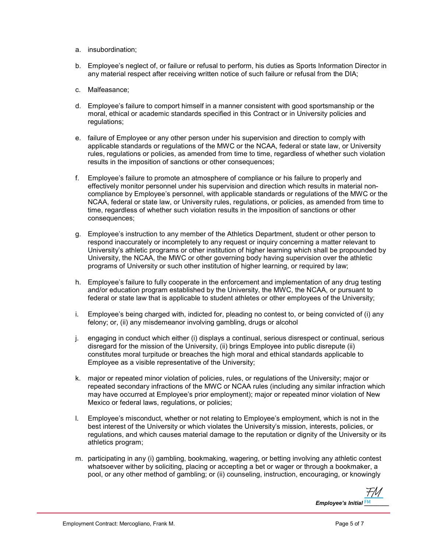- a. insubordination;
- b. Employee's neglect of, or failure or refusal to perform, his duties as Sports Information Director in any material respect after receiving written notice of such failure or refusal from the DIA;
- c. Malfeasance;
- d. Employee's failure to comport himself in a manner consistent with good sportsmanship or the moral, ethical or academic standards specified in this Contract or in University policies and regulations;
- e. failure of Employee or any other person under his supervision and direction to comply with applicable standards or regulations of the MWC or the NCAA, federal or state law, or University rules, regulations or policies, as amended from time to time, regardless of whether such violation results in the imposition of sanctions or other consequences;
- f. Employee's failure to promote an atmosphere of compliance or his failure to properly and effectively monitor personnel under his supervision and direction which results in material noncompliance by Employee's personnel, with applicable standards or regulations of the MWC or the NCAA, federal or state law, or University rules, regulations, or policies, as amended from time to time, regardless of whether such violation results in the imposition of sanctions or other consequences;
- g. Employee's instruction to any member of the Athletics Department, student or other person to respond inaccurately or incompletely to any request or inquiry concerning a matter relevant to University's athletic programs or other institution of higher learning which shall be propounded by University, the NCAA, the MWC or other governing body having supervision over the athletic programs of University or such other institution of higher learning, or required by law;
- h. Employee's failure to fully cooperate in the enforcement and implementation of any drug testing and/or education program established by the University, the MWC, the NCAA, or pursuant to federal or state law that is applicable to student athletes or other employees of the University;
- i. Employee's being charged with, indicted for, pleading no contest to, or being convicted of (i) any felony; or, (ii) any misdemeanor involving gambling, drugs or alcohol
- j. engaging in conduct which either (i) displays a continual, serious disrespect or continual, serious disregard for the mission of the University, (ii) brings Employee into public disrepute (ii) constitutes moral turpitude or breaches the high moral and ethical standards applicable to Employee as a visible representative of the University;
- k. major or repeated minor violation of policies, rules, or regulations of the University; major or repeated secondary infractions of the MWC or NCAA rules (including any similar infraction which may have occurred at Employee's prior employment); major or repeated minor violation of New Mexico or federal laws, regulations, or policies;
- l. Employee's misconduct, whether or not relating to Employee's employment, which is not in the best interest of the University or which violates the University's mission, interests, policies, or regulations, and which causes material damage to the reputation or dignity of the University or its athletics program;
- m. participating in any (i) gambling, bookmaking, wagering, or betting involving any athletic contest whatsoever wither by soliciting, placing or accepting a bet or wager or through a bookmaker, a pool, or any other method of gambling; or (ii) counseling, instruction, encouraging, or knowingly

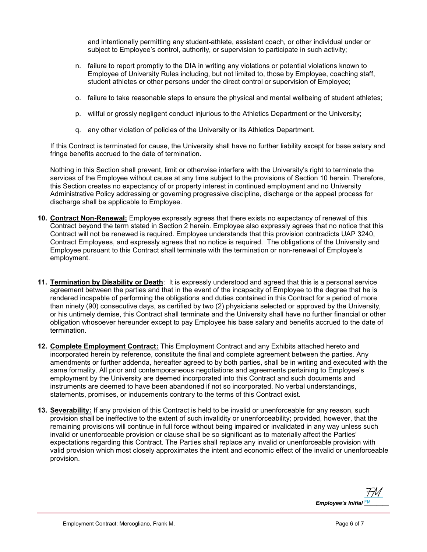and intentionally permitting any student-athlete, assistant coach, or other individual under or subject to Employee's control, authority, or supervision to participate in such activity;

- n. failure to report promptly to the DIA in writing any violations or potential violations known to Employee of University Rules including, but not limited to, those by Employee, coaching staff, student athletes or other persons under the direct control or supervision of Employee;
- o. failure to take reasonable steps to ensure the physical and mental wellbeing of student athletes;
- p. willful or grossly negligent conduct injurious to the Athletics Department or the University;
- q. any other violation of policies of the University or its Athletics Department.

If this Contract is terminated for cause, the University shall have no further liability except for base salary and fringe benefits accrued to the date of termination.

Nothing in this Section shall prevent, limit or otherwise interfere with the University's right to terminate the services of the Employee without cause at any time subject to the provisions of Section 10 herein. Therefore, this Section creates no expectancy of or property interest in continued employment and no University Administrative Policy addressing or governing progressive discipline, discharge or the appeal process for discharge shall be applicable to Employee.

- 10. Contract Non-Renewal: Employee expressly agrees that there exists no expectancy of renewal of this Contract beyond the term stated in Section 2 herein. Employee also expressly agrees that no notice that this Contract will not be renewed is required. Employee understands that this provision contradicts UAP 3240, Contract Employees, and expressly agrees that no notice is required. The obligations of the University and Employee pursuant to this Contract shall terminate with the termination or non-renewal of Employee's employment.
- 11. Termination by Disability or Death: It is expressly understood and agreed that this is a personal service agreement between the parties and that in the event of the incapacity of Employee to the degree that he is rendered incapable of performing the obligations and duties contained in this Contract for a period of more than ninety (90) consecutive days, as certified by two (2) physicians selected or approved by the University, or his untimely demise, this Contract shall terminate and the University shall have no further financial or other obligation whosoever hereunder except to pay Employee his base salary and benefits accrued to the date of termination.
- 12. Complete Employment Contract: This Employment Contract and any Exhibits attached hereto and incorporated herein by reference, constitute the final and complete agreement between the parties. Any amendments or further addenda, hereafter agreed to by both parties, shall be in writing and executed with the same formality. All prior and contemporaneous negotiations and agreements pertaining to Employee's employment by the University are deemed incorporated into this Contract and such documents and instruments are deemed to have been abandoned if not so incorporated. No verbal understandings, statements, promises, or inducements contrary to the terms of this Contract exist.
- 13. Severability: If any provision of this Contract is held to be invalid or unenforceable for any reason, such provision shall be ineffective to the extent of such invalidity or unenforceability; provided, however, that the remaining provisions will continue in full force without being impaired or invalidated in any way unless such invalid or unenforceable provision or clause shall be so significant as to materially affect the Parties' expectations regarding this Contract. The Parties shall replace any invalid or unenforceable provision with valid provision which most closely approximates the intent and economic effect of the invalid or unenforceable provision.